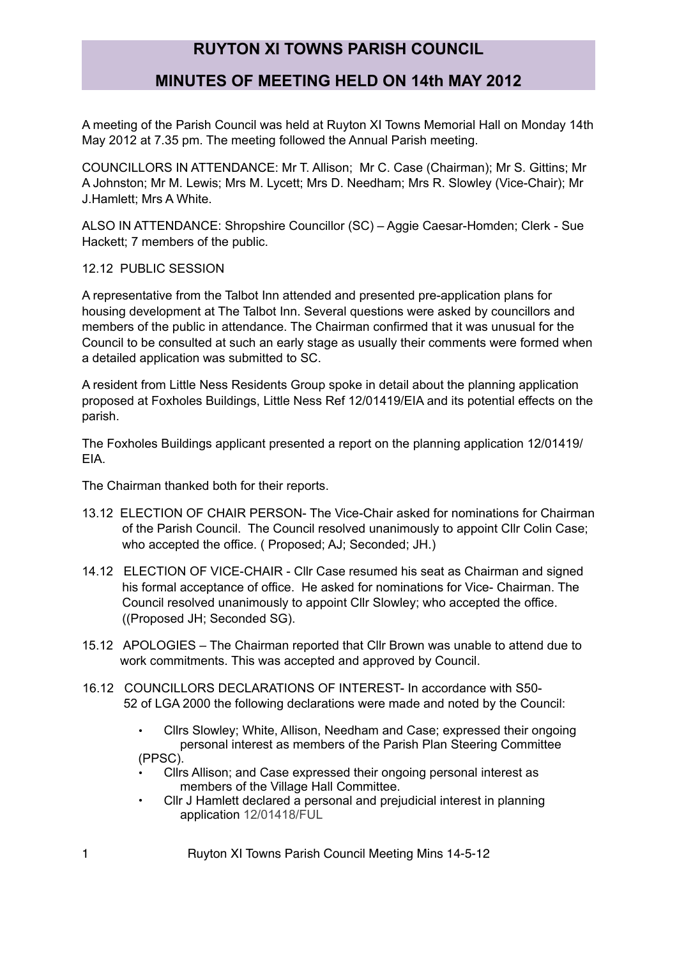### **MINUTES OF MEETING HELD ON 14th MAY 2012**

A meeting of the Parish Council was held at Ruyton XI Towns Memorial Hall on Monday 14th May 2012 at 7.35 pm. The meeting followed the Annual Parish meeting.

COUNCILLORS IN ATTENDANCE: Mr T. Allison; Mr C. Case (Chairman); Mr S. Gittins; Mr A Johnston; Mr M. Lewis; Mrs M. Lycett; Mrs D. Needham; Mrs R. Slowley (Vice-Chair); Mr J.Hamlett; Mrs A White.

ALSO IN ATTENDANCE: Shropshire Councillor (SC) – Aggie Caesar-Homden; Clerk - Sue Hackett; 7 members of the public.

12.12 PUBLIC SESSION

A representative from the Talbot Inn attended and presented pre-application plans for housing development at The Talbot Inn. Several questions were asked by councillors and members of the public in attendance. The Chairman confirmed that it was unusual for the Council to be consulted at such an early stage as usually their comments were formed when a detailed application was submitted to SC.

A resident from Little Ness Residents Group spoke in detail about the planning application proposed at Foxholes Buildings, Little Ness Ref 12/01419/EIA and its potential effects on the parish.

The Foxholes Buildings applicant presented a report on the planning application 12/01419/ EIA.

The Chairman thanked both for their reports.

- 13.12 ELECTION OF CHAIR PERSON- The Vice-Chair asked for nominations for Chairman of the Parish Council. The Council resolved unanimously to appoint Cllr Colin Case; who accepted the office. ( Proposed; AJ; Seconded; JH.)
- 14.12 ELECTION OF VICE-CHAIR Cllr Case resumed his seat as Chairman and signed his formal acceptance of office. He asked for nominations for Vice- Chairman. The Council resolved unanimously to appoint Cllr Slowley; who accepted the office. ((Proposed JH; Seconded SG).
- 15.12 APOLOGIES The Chairman reported that Cllr Brown was unable to attend due to work commitments. This was accepted and approved by Council.
- 16.12 COUNCILLORS DECLARATIONS OF INTEREST- In accordance with S50- 52 of LGA 2000 the following declarations were made and noted by the Council:
	- Cllrs Slowley; White, Allison, Needham and Case; expressed their ongoing personal interest as members of the Parish Plan Steering Committee (PPSC).
	- Cllrs Allison; and Case expressed their ongoing personal interest as members of the Village Hall Committee.
	- Cllr J Hamlett declared a personal and prejudicial interest in planning application 12/01418/FUL

1 Ruyton XI Towns Parish Council Meeting Mins 14-5-12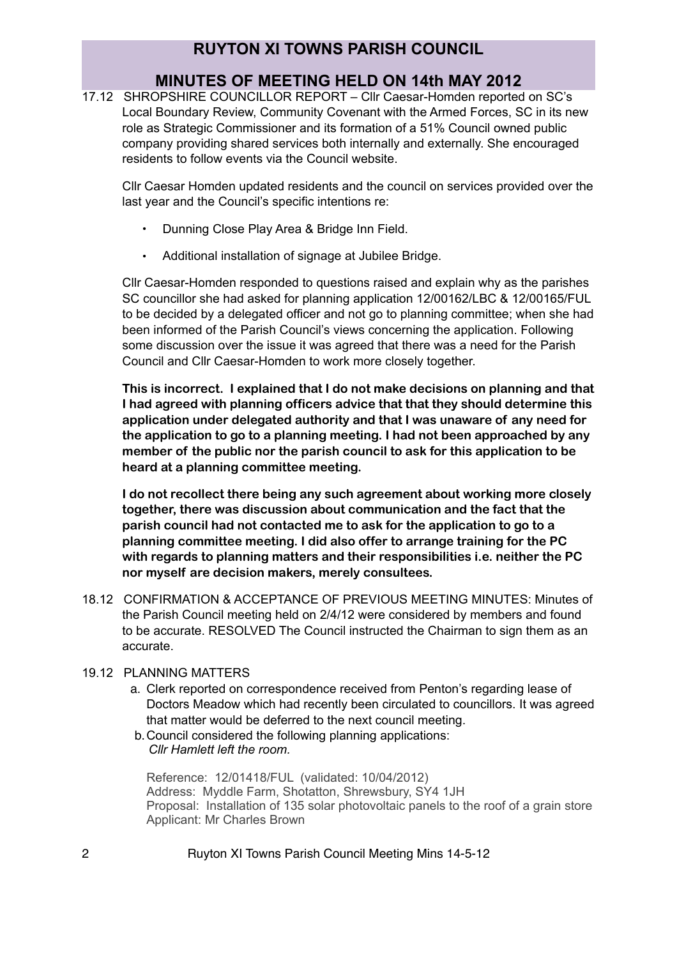# **MINUTES OF MEETING HELD ON 14th MAY 2012**

17.12 SHROPSHIRE COUNCILLOR REPORT – Cllr Caesar-Homden reported on SC's Local Boundary Review, Community Covenant with the Armed Forces, SC in its new role as Strategic Commissioner and its formation of a 51% Council owned public company providing shared services both internally and externally. She encouraged residents to follow events via the Council website.

Cllr Caesar Homden updated residents and the council on services provided over the last year and the Council's specific intentions re:

- Dunning Close Play Area & Bridge Inn Field.
- Additional installation of signage at Jubilee Bridge.

Cllr Caesar-Homden responded to questions raised and explain why as the parishes SC councillor she had asked for planning application 12/00162/LBC & 12/00165/FUL to be decided by a delegated officer and not go to planning committee; when she had been informed of the Parish Council's views concerning the application. Following some discussion over the issue it was agreed that there was a need for the Parish Council and Cllr Caesar-Homden to work more closely together.

**This is incorrect. I explained that I do not make decisions on planning and that I had agreed with planning officers advice that that they should determine this application under delegated authority and that I was unaware of any need for the application to go to a planning meeting. I had not been approached by any member of the public nor the parish council to ask for this application to be heard at a planning committee meeting.** 

**I do not recollect there being any such agreement about working more closely together, there was discussion about communication and the fact that the parish council had not contacted me to ask for the application to go to a planning committee meeting. I did also offer to arrange training for the PC with regards to planning matters and their responsibilities i.e. neither the PC nor myself are decision makers, merely consultees.** 

18.12 CONFIRMATION & ACCEPTANCE OF PREVIOUS MEETING MINUTES: Minutes of the Parish Council meeting held on 2/4/12 were considered by members and found to be accurate. RESOLVED The Council instructed the Chairman to sign them as an accurate.

### 19.12 PLANNING MATTERS

- a. Clerk reported on correspondence received from Penton's regarding lease of Doctors Meadow which had recently been circulated to councillors. It was agreed that matter would be deferred to the next council meeting.
- b.Council considered the following planning applications:  *Cllr Hamlett left the room.*

Reference: 12/01418/FUL (validated: 10/04/2012) Address: Myddle Farm, Shotatton, Shrewsbury, SY4 1JH Proposal: Installation of 135 solar photovoltaic panels to the roof of a grain store Applicant: Mr Charles Brown

2 Ruyton XI Towns Parish Council Meeting Mins 14-5-12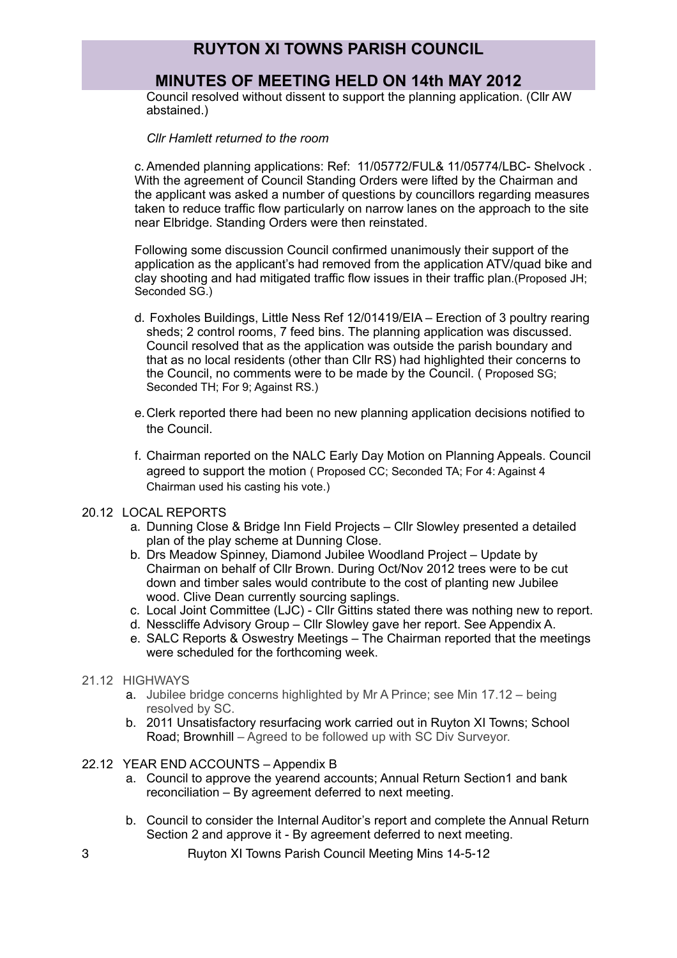### **MINUTES OF MEETING HELD ON 14th MAY 2012**

Council resolved without dissent to support the planning application. (Cllr AW abstained.)

*Cllr Hamlett returned to the room*

c.Amended planning applications: Ref: 11/05772/FUL& 11/05774/LBC- Shelvock . With the agreement of Council Standing Orders were lifted by the Chairman and the applicant was asked a number of questions by councillors regarding measures taken to reduce traffic flow particularly on narrow lanes on the approach to the site near Elbridge. Standing Orders were then reinstated.

Following some discussion Council confirmed unanimously their support of the application as the applicant's had removed from the application ATV/quad bike and clay shooting and had mitigated traffic flow issues in their traffic plan.(Proposed JH; Seconded SG.)

- d. Foxholes Buildings, Little Ness Ref 12/01419/EIA Erection of 3 poultry rearing sheds; 2 control rooms, 7 feed bins. The planning application was discussed. Council resolved that as the application was outside the parish boundary and that as no local residents (other than Cllr RS) had highlighted their concerns to the Council, no comments were to be made by the Council. ( Proposed SG; Seconded TH; For 9; Against RS.)
- e.Clerk reported there had been no new planning application decisions notified to the Council.
- f. Chairman reported on the NALC Early Day Motion on Planning Appeals. Council agreed to support the motion ( Proposed CC; Seconded TA; For 4: Against 4 Chairman used his casting his vote.)

#### 20.12 LOCAL REPORTS

- a. Dunning Close & Bridge Inn Field Projects Cllr Slowley presented a detailed plan of the play scheme at Dunning Close.
- b. Drs Meadow Spinney, Diamond Jubilee Woodland Project Update by Chairman on behalf of Cllr Brown. During Oct/Nov 2012 trees were to be cut down and timber sales would contribute to the cost of planting new Jubilee wood. Clive Dean currently sourcing saplings.
- c. Local Joint Committee (LJC) Cllr Gittins stated there was nothing new to report.
- d. Nesscliffe Advisory Group Cllr Slowley gave her report. See Appendix A.
- e. SALC Reports & Oswestry Meetings The Chairman reported that the meetings were scheduled for the forthcoming week.
- 21.12 HIGHWAYS
	- a. Jubilee bridge concerns highlighted by Mr A Prince; see Min 17.12 being resolved by SC.
	- b. 2011 Unsatisfactory resurfacing work carried out in Ruyton XI Towns; School Road; Brownhill – Agreed to be followed up with SC Div Surveyor.
- 22.12 YEAR END ACCOUNTS Appendix B
	- a. Council to approve the yearend accounts; Annual Return Section1 and bank reconciliation – By agreement deferred to next meeting.
	- b. Council to consider the Internal Auditor's report and complete the Annual Return Section 2 and approve it - By agreement deferred to next meeting.
- 3 Ruyton XI Towns Parish Council Meeting Mins 14-5-12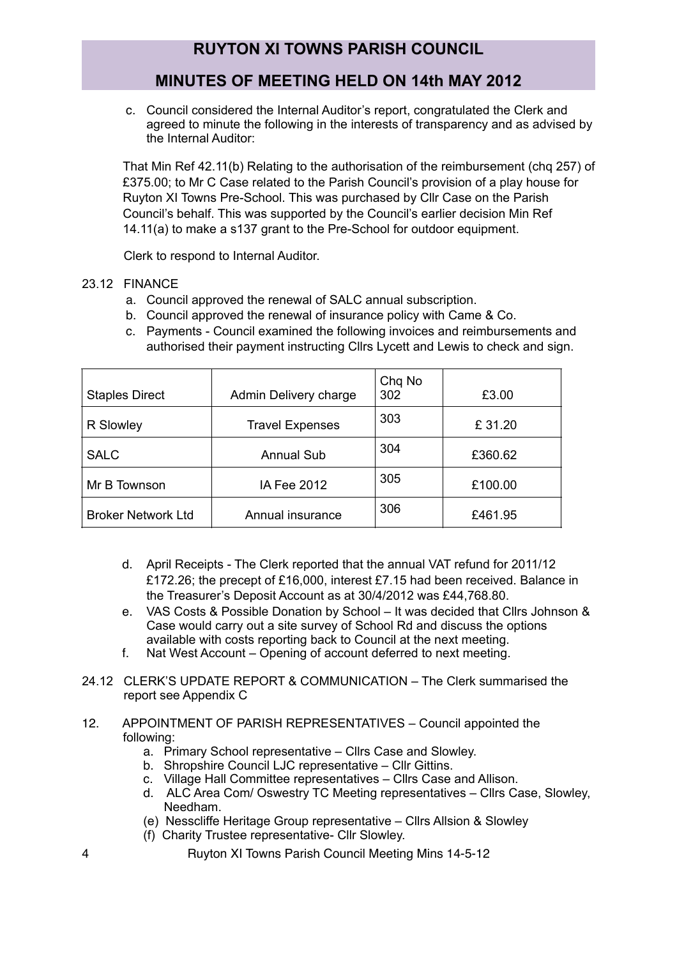## **MINUTES OF MEETING HELD ON 14th MAY 2012**

c. Council considered the Internal Auditor's report, congratulated the Clerk and agreed to minute the following in the interests of transparency and as advised by the Internal Auditor:

That Min Ref 42.11(b) Relating to the authorisation of the reimbursement (chq 257) of £375.00; to Mr C Case related to the Parish Council's provision of a play house for Ruyton XI Towns Pre-School. This was purchased by Cllr Case on the Parish Council's behalf. This was supported by the Council's earlier decision Min Ref 14.11(a) to make a s137 grant to the Pre-School for outdoor equipment.

Clerk to respond to Internal Auditor.

### 23.12 FINANCE

- a. Council approved the renewal of SALC annual subscription.
- b. Council approved the renewal of insurance policy with Came & Co.
- c. Payments Council examined the following invoices and reimbursements and authorised their payment instructing Cllrs Lycett and Lewis to check and sign.

| <b>Staples Direct</b>     | Admin Delivery charge  | Chq No<br>302 | £3.00   |
|---------------------------|------------------------|---------------|---------|
| R Slowley                 | <b>Travel Expenses</b> | 303           | £31.20  |
| <b>SALC</b>               | <b>Annual Sub</b>      | 304           | £360.62 |
| Mr B Townson              | IA Fee 2012            | 305           | £100.00 |
| <b>Broker Network Ltd</b> | Annual insurance       | 306           | £461.95 |

- d. April Receipts The Clerk reported that the annual VAT refund for 2011/12 £172.26; the precept of £16,000, interest £7.15 had been received. Balance in the Treasurer's Deposit Account as at 30/4/2012 was £44,768.80.
- e. VAS Costs & Possible Donation by School It was decided that Cllrs Johnson & Case would carry out a site survey of School Rd and discuss the options available with costs reporting back to Council at the next meeting.
- f. Nat West Account Opening of account deferred to next meeting.
- 24.12 CLERK'S UPDATE REPORT & COMMUNICATION The Clerk summarised the report see Appendix C
- 12. APPOINTMENT OF PARISH REPRESENTATIVES Council appointed the following:
	- a. Primary School representative Cllrs Case and Slowley.
	- b. Shropshire Council LJC representative Cllr Gittins.
	- c. Village Hall Committee representatives Cllrs Case and Allison.
	- d. ALC Area Com/ Oswestry TC Meeting representatives Cllrs Case, Slowley, Needham.
	- (e) Nesscliffe Heritage Group representative Cllrs Allsion & Slowley
	- (f) Charity Trustee representative- Cllr Slowley.
- 4 Ruyton XI Towns Parish Council Meeting Mins 14-5-12